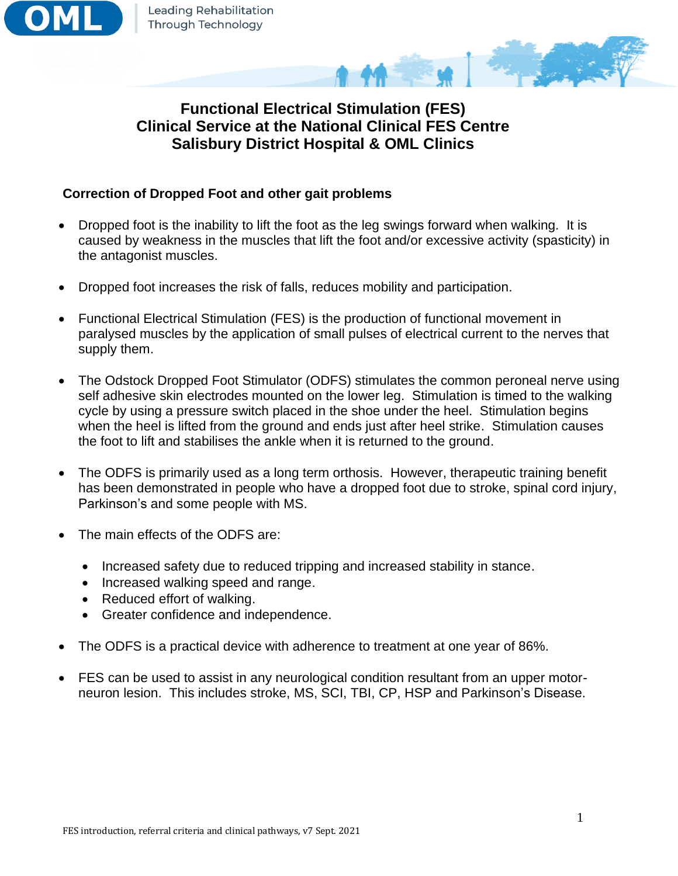

# **Functional Electrical Stimulation (FES) Clinical Service at the National Clinical FES Centre Salisbury District Hospital & OML Clinics**

## **Correction of Dropped Foot and other gait problems**

- Dropped foot is the inability to lift the foot as the leg swings forward when walking. It is caused by weakness in the muscles that lift the foot and/or excessive activity (spasticity) in the antagonist muscles.
- Dropped foot increases the risk of falls, reduces mobility and participation.
- Functional Electrical Stimulation (FES) is the production of functional movement in paralysed muscles by the application of small pulses of electrical current to the nerves that supply them.
- The Odstock Dropped Foot Stimulator (ODFS) stimulates the common peroneal nerve using self adhesive skin electrodes mounted on the lower leg. Stimulation is timed to the walking cycle by using a pressure switch placed in the shoe under the heel. Stimulation begins when the heel is lifted from the ground and ends just after heel strike. Stimulation causes the foot to lift and stabilises the ankle when it is returned to the ground.
- The ODFS is primarily used as a long term orthosis. However, therapeutic training benefit has been demonstrated in people who have a dropped foot due to stroke, spinal cord injury, Parkinson's and some people with MS.
- The main effects of the ODES are:
	- Increased safety due to reduced tripping and increased stability in stance.
	- Increased walking speed and range.
	- Reduced effort of walking.
	- Greater confidence and independence.
- The ODFS is a practical device with adherence to treatment at one year of 86%.
- FES can be used to assist in any neurological condition resultant from an upper motorneuron lesion. This includes stroke, MS, SCI, TBI, CP, HSP and Parkinson's Disease.

و به کار کار دارد.<br>کار دارد کار دارد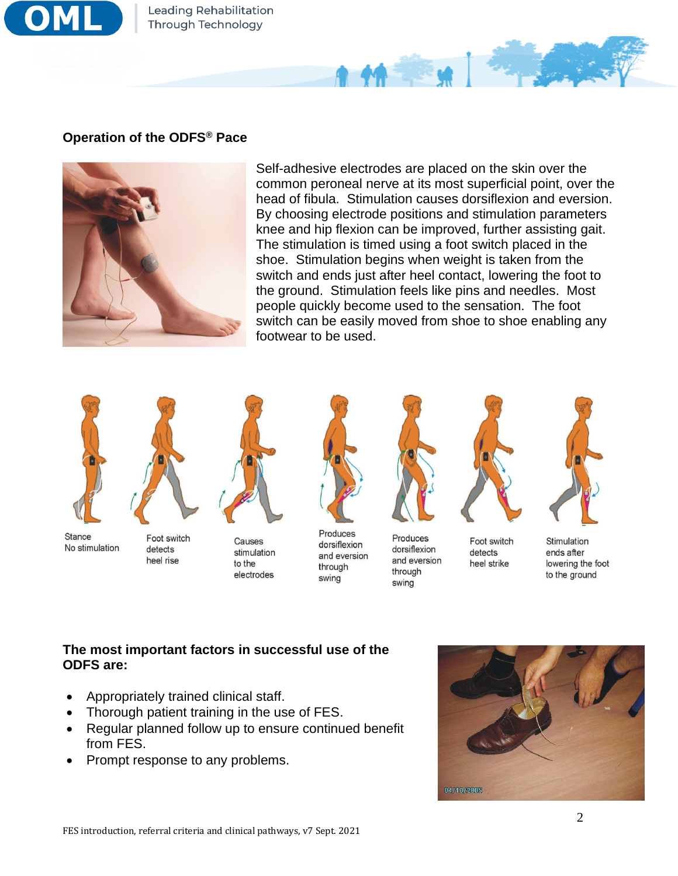

Leading Rehabilitation **Through Technology** 

## **Operation of the ODFS® Pace**



Self-adhesive electrodes are placed on the skin over the common peroneal nerve at its most superficial point, over the head of fibula. Stimulation causes dorsiflexion and eversion. By choosing electrode positions and stimulation parameters knee and hip flexion can be improved, further assisting gait. The stimulation is timed using a foot switch placed in the shoe. Stimulation begins when weight is taken from the switch and ends just after heel contact, lowering the foot to the ground. Stimulation feels like pins and needles. Most people quickly become used to the sensation. The foot switch can be easily moved from shoe to shoe enabling any footwear to be used.





Stance No stimulation

Foot switch detects heel rise

Causes stimulation to the electrodes



Produces dorsiflexion and eversion through swing



Produces

through

swing

dorsiflexion

and eversion





Foot switch detects heel strike

Stimulation ends after lowering the foot to the ground

## **The most important factors in successful use of the ODFS are:**

- Appropriately trained clinical staff.
- Thorough patient training in the use of FES.
- Regular planned follow up to ensure continued benefit from FES.
- Prompt response to any problems.

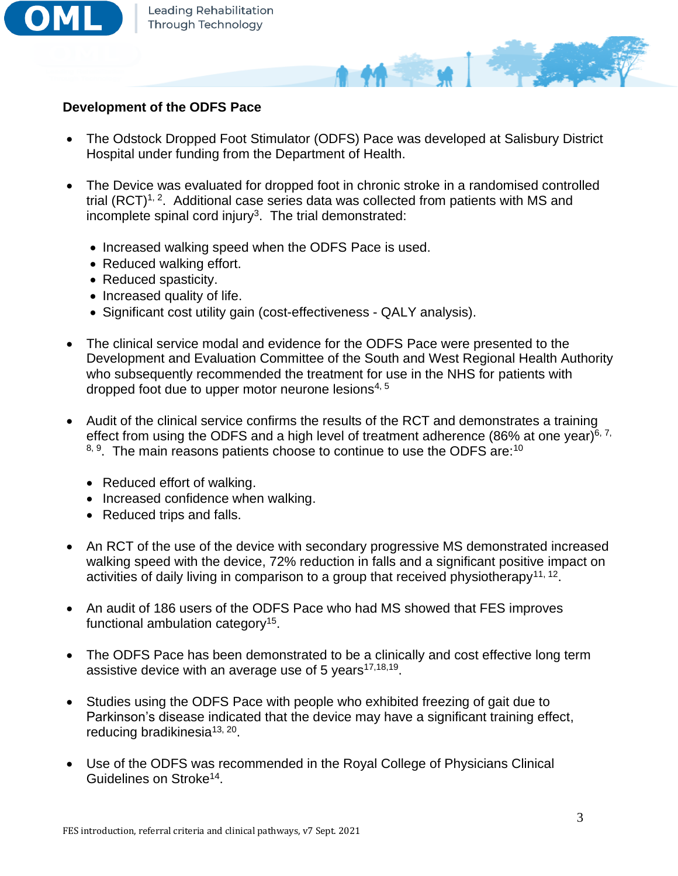

#### **Development of the ODFS Pace**

• The Odstock Dropped Foot Stimulator (ODFS) Pace was developed at Salisbury District Hospital under funding from the Department of Health.

 $44 - 4$ 

- The Device was evaluated for dropped foot in chronic stroke in a randomised controlled trial  $(RCT)^{1, 2}$ . Additional case series data was collected from patients with MS and incomplete spinal cord injury<sup>3</sup>. The trial demonstrated:
	- Increased walking speed when the ODFS Pace is used.
	- Reduced walking effort.
	- Reduced spasticity.
	- Increased quality of life.
	- Significant cost utility gain (cost-effectiveness QALY analysis).
- The clinical service modal and evidence for the ODFS Pace were presented to the Development and Evaluation Committee of the South and West Regional Health Authority who subsequently recommended the treatment for use in the NHS for patients with dropped foot due to upper motor neurone lesions $4,5$
- Audit of the clinical service confirms the results of the RCT and demonstrates a training effect from using the ODFS and a high level of treatment adherence (86% at one year)<sup>6, 7,</sup>  $8, 9$ . The main reasons patients choose to continue to use the ODFS are:<sup>10</sup>
	- Reduced effort of walking.
	- Increased confidence when walking.
	- Reduced trips and falls.
- An RCT of the use of the device with secondary progressive MS demonstrated increased walking speed with the device, 72% reduction in falls and a significant positive impact on activities of daily living in comparison to a group that received physiotherapy<sup>11, 12</sup>.
- An audit of 186 users of the ODFS Pace who had MS showed that FES improves functional ambulation category<sup>15</sup>.
- The ODFS Pace has been demonstrated to be a clinically and cost effective long term assistive device with an average use of 5 years $17,18,19$ .
- Studies using the ODFS Pace with people who exhibited freezing of gait due to Parkinson's disease indicated that the device may have a significant training effect, reducing bradikinesia<sup>13, 20</sup>.
- Use of the ODFS was recommended in the Royal College of Physicians Clinical Guidelines on Stroke<sup>14</sup>.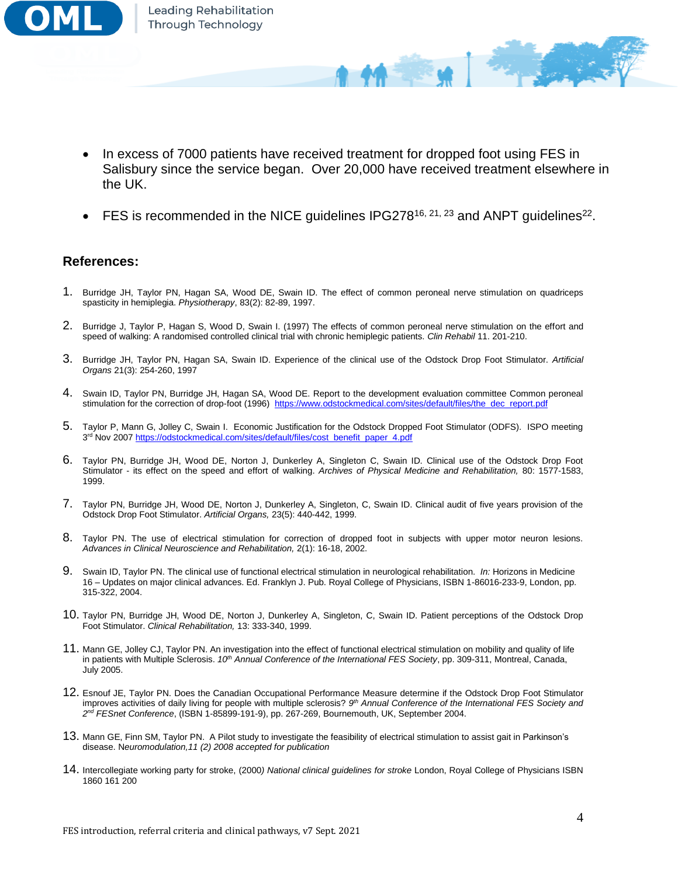

In excess of 7000 patients have received treatment for dropped foot using FES in Salisbury since the service began. Over 20,000 have received treatment elsewhere in the UK.

**MA TENNIS** 

• FES is recommended in the NICE guidelines IPG278<sup>16, 21, 23</sup> and ANPT guidelines<sup>22</sup>.

#### **References:**

- 1. Burridge JH, Taylor PN, Hagan SA, Wood DE, Swain ID. The effect of common peroneal nerve stimulation on quadriceps spasticity in hemiplegia. *Physiotherapy*, 83(2): 82-89, 1997.
- 2. Burridge J, Taylor P, Hagan S, Wood D, Swain I. (1997) The effects of common peroneal nerve stimulation on the effort and speed of walking: A randomised controlled clinical trial with chronic hemiplegic patients. *Clin Rehabil* 11. 201-210.
- 3. Burridge JH, Taylor PN, Hagan SA, Swain ID. Experience of the clinical use of the Odstock Drop Foot Stimulator. *Artificial Organs* 21(3): 254-260, 1997
- 4. Swain ID, Taylor PN, Burridge JH, Hagan SA, Wood DE. Report to the development evaluation committee Common peroneal stimulation for the correction of drop-foot (1996) [https://www.odstockmedical.com/sites/default/files/the\\_dec\\_report.pdf](https://www.odstockmedical.com/sites/default/files/the_dec_report.pdf)
- 5. Taylor P, Mann G, Jolley C, Swain I. Economic Justification for the Odstock Dropped Foot Stimulator (ODFS). ISPO meeting 3<sup>rd</sup> Nov 2007 [https://odstockmedical.com/sites/default/files/cost\\_benefit\\_paper\\_4.pdf](https://odstockmedical.com/sites/default/files/cost_benefit_paper_4.pdf)
- 6. Taylor PN, Burridge JH, Wood DE, Norton J, Dunkerley A, Singleton C, Swain ID. Clinical use of the Odstock Drop Foot Stimulator - its effect on the speed and effort of walking. *Archives of Physical Medicine and Rehabilitation,* 80: 1577-1583, 1999.
- 7. Taylor PN, Burridge JH, Wood DE, Norton J, Dunkerley A, Singleton, C, Swain ID. Clinical audit of five years provision of the Odstock Drop Foot Stimulator. *Artificial Organs,* 23(5): 440-442, 1999.
- 8. Taylor PN. The use of electrical stimulation for correction of dropped foot in subjects with upper motor neuron lesions. *Advances in Clinical Neuroscience and Rehabilitation,* 2(1): 16-18, 2002.
- 9. Swain ID, Taylor PN. The clinical use of functional electrical stimulation in neurological rehabilitation. *In:* Horizons in Medicine 16 – Updates on major clinical advances. Ed. Franklyn J. Pub. Royal College of Physicians, ISBN 1-86016-233-9, London, pp. 315-322, 2004.
- 10. Taylor PN, Burridge JH, Wood DE, Norton J, Dunkerley A, Singleton, C, Swain ID. Patient perceptions of the Odstock Drop Foot Stimulator. *Clinical Rehabilitation,* 13: 333-340, 1999.
- 11. Mann GE, Jolley CJ, Taylor PN. An investigation into the effect of functional electrical stimulation on mobility and quality of life in patients with Multiple Sclerosis. *10th Annual Conference of the International FES Society*, pp. 309-311, Montreal, Canada, July 2005.
- 12. Esnouf JE, Taylor PN. Does the Canadian Occupational Performance Measure determine if the Odstock Drop Foot Stimulator improves activities of daily living for people with multiple sclerosis? *9 th Annual Conference of the International FES Society and 2 nd FESnet Conference*, (ISBN 1-85899-191-9), pp. 267-269, Bournemouth, UK, September 2004.
- 13. Mann GE, Finn SM, Taylor PN. A Pilot study to investigate the feasibility of electrical stimulation to assist gait in Parkinson's disease. N*euromodulation,11 (2) 2008 accepted for publication*
- 14. Intercollegiate working party for stroke, (2000*) National clinical guidelines for stroke* London, Royal College of Physicians ISBN 1860 161 200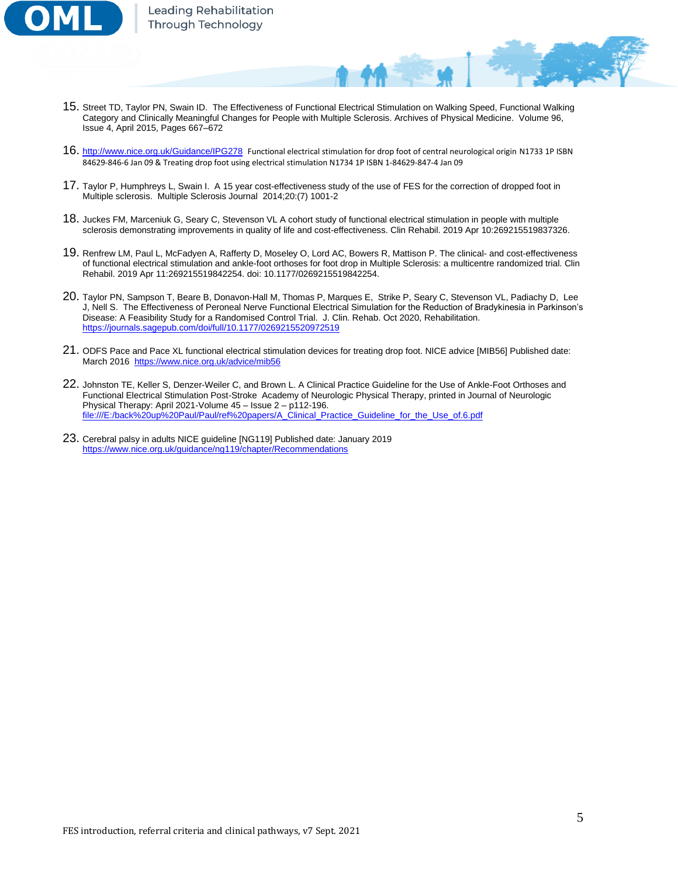

- 15. Street TD, Taylor PN, Swain ID. The Effectiveness of Functional Electrical Stimulation on Walking Speed, Functional Walking Category and Clinically Meaningful Changes for People with Multiple Sclerosis. Archives of Physical Medicine. Volume 96, Issue 4, April 2015, Pages 667–672
- 16. <http://www.nice.org.uk/Guidance/IPG278>Functional electrical stimulation for drop foot of central neurological origin N1733 1P ISBN 84629-846-6 Jan 09 & Treating drop foot using electrical stimulation N1734 1P ISBN 1-84629-847-4 Jan 09
- 17. Taylor P, Humphreys L, Swain I. A 15 year cost-effectiveness study of the use of FES for the correction of dropped foot in Multiple sclerosis. Multiple Sclerosis Journal 2014;20:(7) 1001-2
- 18. Juckes FM, Marceniuk G, Seary C, Stevenson VL A cohort study of functional electrical stimulation in people with multiple sclerosis demonstrating improvements in quality of life and cost-effectiveness. Clin Rehabil. 2019 Apr 10:269215519837326.
- 19. Renfrew LM, Paul L, McFadyen A, Rafferty D, Moseley O, Lord AC, Bowers R, Mattison P. The clinical- and cost-effectiveness of functional electrical stimulation and ankle-foot orthoses for foot drop in Multiple Sclerosis: a multicentre randomized trial. Clin Rehabil. 2019 Apr 11:269215519842254. doi: 10.1177/0269215519842254.
- 20. Taylor PN, Sampson T, Beare B, Donavon-Hall M, Thomas P, Marques E, Strike P, Seary C, Stevenson VL, Padiachy D, Lee J, Nell S. The Effectiveness of Peroneal Nerve Functional Electrical Simulation for the Reduction of Bradykinesia in Parkinson's Disease: A Feasibility Study for a Randomised Control Trial. J. Clin. Rehab. Oct 2020, Rehabilitation. <https://journals.sagepub.com/doi/full/10.1177/0269215520972519>
- 21. ODFS Pace and Pace XL functional electrical stimulation devices for treating drop foot. NICE advice [MIB56] Published date: March 2016<https://www.nice.org.uk/advice/mib56>
- 22. Johnston TE, Keller S, Denzer-Weiler C, and Brown L. A Clinical Practice Guideline for the Use of Ankle-Foot Orthoses and Functional Electrical Stimulation Post-Stroke Academy of Neurologic Physical Therapy, printed in Journal of Neurologic Physical Therapy: April 2021-Volume 45 – Issue 2 – p112-196. [file:///E:/back%20up%20Paul/Paul/ref%20papers/A\\_Clinical\\_Practice\\_Guideline\\_for\\_the\\_Use\\_of.6.pdf](file:///E:/back%20up%20Paul/Paul/ref%20papers/A_Clinical_Practice_Guideline_for_the_Use_of.6.pdf)
- 23. Cerebral palsy in adults NICE guideline [NG119] Published date: January 2019 <https://www.nice.org.uk/guidance/ng119/chapter/Recommendations>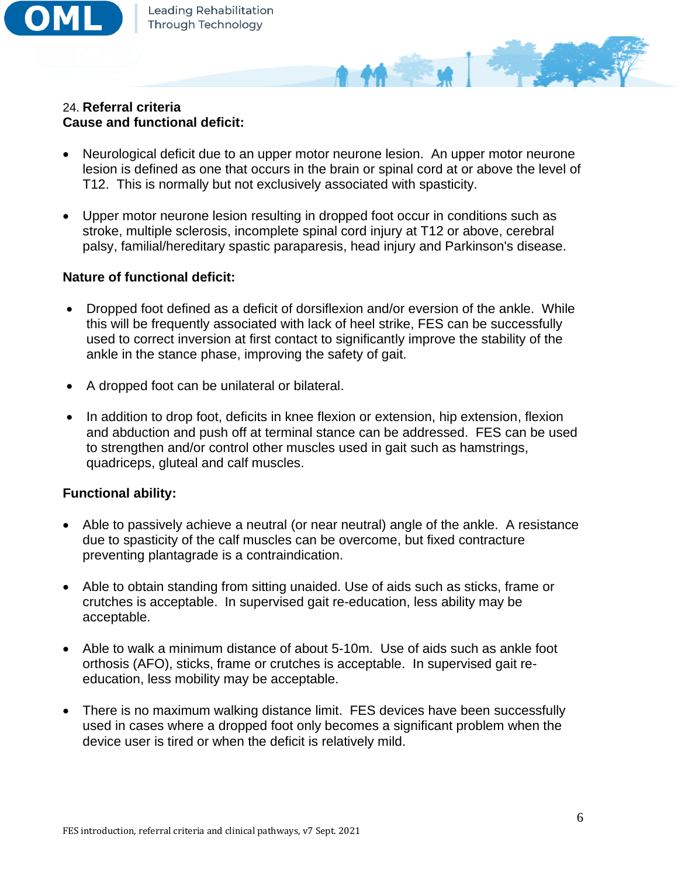

## 24. **Referral criteria Cause and functional deficit:**

• Neurological deficit due to an upper motor neurone lesion. An upper motor neurone lesion is defined as one that occurs in the brain or spinal cord at or above the level of T12. This is normally but not exclusively associated with spasticity.

44 - 3

• Upper motor neurone lesion resulting in dropped foot occur in conditions such as stroke, multiple sclerosis, incomplete spinal cord injury at T12 or above, cerebral palsy, familial/hereditary spastic paraparesis, head injury and Parkinson's disease.

## **Nature of functional deficit:**

- Dropped foot defined as a deficit of dorsiflexion and/or eversion of the ankle. While this will be frequently associated with lack of heel strike, FES can be successfully used to correct inversion at first contact to significantly improve the stability of the ankle in the stance phase, improving the safety of gait.
- A dropped foot can be unilateral or bilateral.
- In addition to drop foot, deficits in knee flexion or extension, hip extension, flexion and abduction and push off at terminal stance can be addressed. FES can be used to strengthen and/or control other muscles used in gait such as hamstrings, quadriceps, gluteal and calf muscles.

## **Functional ability:**

- Able to passively achieve a neutral (or near neutral) angle of the ankle. A resistance due to spasticity of the calf muscles can be overcome, but fixed contracture preventing plantagrade is a contraindication.
- Able to obtain standing from sitting unaided. Use of aids such as sticks, frame or crutches is acceptable. In supervised gait re-education, less ability may be acceptable.
- Able to walk a minimum distance of about 5-10m. Use of aids such as ankle foot orthosis (AFO), sticks, frame or crutches is acceptable. In supervised gait reeducation, less mobility may be acceptable.
- There is no maximum walking distance limit. FES devices have been successfully used in cases where a dropped foot only becomes a significant problem when the device user is tired or when the deficit is relatively mild.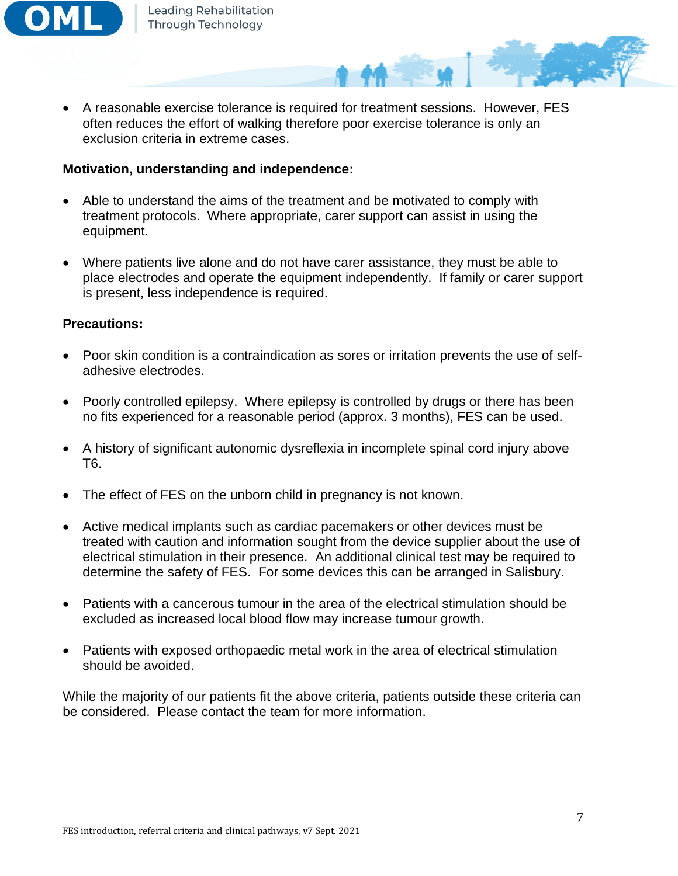

• A reasonable exercise tolerance is required for treatment sessions. However, FES often reduces the effort of walking therefore poor exercise tolerance is only an exclusion criteria in extreme cases.

#### **Motivation, understanding and independence:**

- Able to understand the aims of the treatment and be motivated to comply with treatment protocols. Where appropriate, carer support can assist in using the equipment.
- Where patients live alone and do not have carer assistance, they must be able to place electrodes and operate the equipment independently. If family or carer support is present, less independence is required.

#### **Precautions:**

- Poor skin condition is a contraindication as sores or irritation prevents the use of selfadhesive electrodes.
- Poorly controlled epilepsy. Where epilepsy is controlled by drugs or there has been no fits experienced for a reasonable period (approx. 3 months), FES can be used.
- A history of significant autonomic dysreflexia in incomplete spinal cord injury above T6.
- The effect of FES on the unborn child in pregnancy is not known.
- Active medical implants such as cardiac pacemakers or other devices must be treated with caution and information sought from the device supplier about the use of electrical stimulation in their presence. An additional clinical test may be required to determine the safety of FES. For some devices this can be arranged in Salisbury.
- Patients with a cancerous tumour in the area of the electrical stimulation should be excluded as increased local blood flow may increase tumour growth.
- Patients with exposed orthopaedic metal work in the area of electrical stimulation should be avoided.

While the majority of our patients fit the above criteria, patients outside these criteria can be considered. Please contact the team for more information.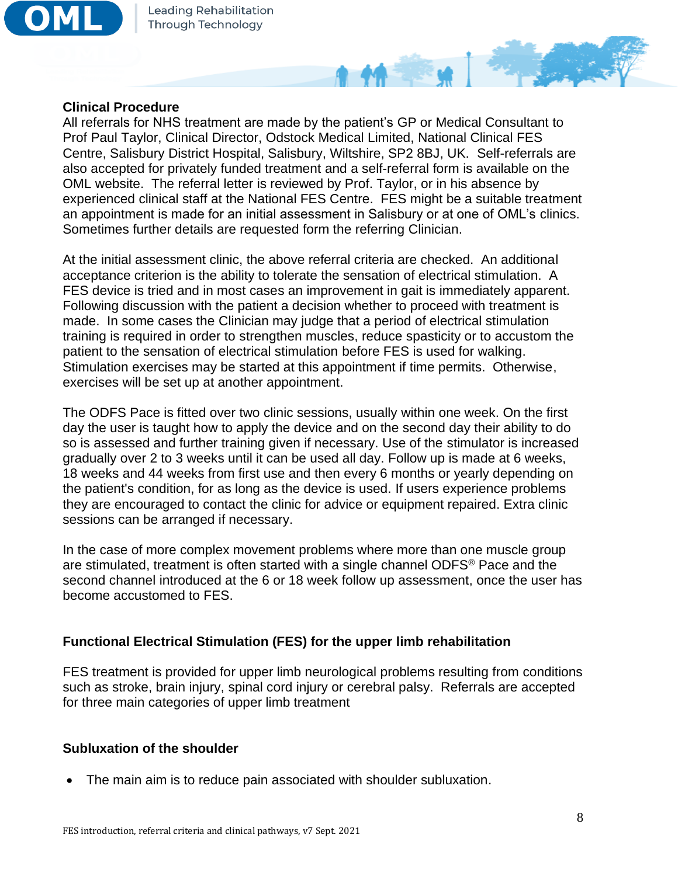

#### **Clinical Procedure**

All referrals for NHS treatment are made by the patient's GP or Medical Consultant to Prof Paul Taylor, Clinical Director, Odstock Medical Limited, National Clinical FES Centre, Salisbury District Hospital, Salisbury, Wiltshire, SP2 8BJ, UK. Self-referrals are also accepted for privately funded treatment and a self-referral form is available on the OML website. The referral letter is reviewed by Prof. Taylor, or in his absence by experienced clinical staff at the National FES Centre. FES might be a suitable treatment an appointment is made for an initial assessment in Salisbury or at one of OML's clinics. Sometimes further details are requested form the referring Clinician.

**AM SERVICE** 

At the initial assessment clinic, the above referral criteria are checked. An additional acceptance criterion is the ability to tolerate the sensation of electrical stimulation. A FES device is tried and in most cases an improvement in gait is immediately apparent. Following discussion with the patient a decision whether to proceed with treatment is made. In some cases the Clinician may judge that a period of electrical stimulation training is required in order to strengthen muscles, reduce spasticity or to accustom the patient to the sensation of electrical stimulation before FES is used for walking. Stimulation exercises may be started at this appointment if time permits. Otherwise, exercises will be set up at another appointment.

The ODFS Pace is fitted over two clinic sessions, usually within one week. On the first day the user is taught how to apply the device and on the second day their ability to do so is assessed and further training given if necessary. Use of the stimulator is increased gradually over 2 to 3 weeks until it can be used all day. Follow up is made at 6 weeks, 18 weeks and 44 weeks from first use and then every 6 months or yearly depending on the patient's condition, for as long as the device is used. If users experience problems they are encouraged to contact the clinic for advice or equipment repaired. Extra clinic sessions can be arranged if necessary.

In the case of more complex movement problems where more than one muscle group are stimulated, treatment is often started with a single channel ODFS® Pace and the second channel introduced at the 6 or 18 week follow up assessment, once the user has become accustomed to FES.

## **Functional Electrical Stimulation (FES) for the upper limb rehabilitation**

FES treatment is provided for upper limb neurological problems resulting from conditions such as stroke, brain injury, spinal cord injury or cerebral palsy. Referrals are accepted for three main categories of upper limb treatment

## **Subluxation of the shoulder**

• The main aim is to reduce pain associated with shoulder subluxation.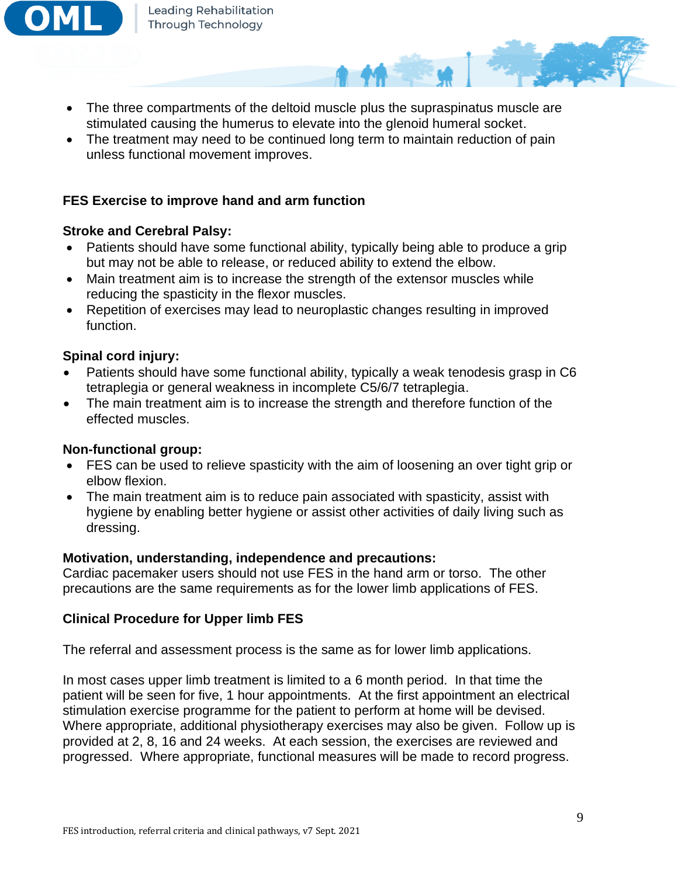

- The three compartments of the deltoid muscle plus the supraspinatus muscle are stimulated causing the humerus to elevate into the glenoid humeral socket.
- The treatment may need to be continued long term to maintain reduction of pain unless functional movement improves.

## **FES Exercise to improve hand and arm function**

## **Stroke and Cerebral Palsy:**

- Patients should have some functional ability, typically being able to produce a grip but may not be able to release, or reduced ability to extend the elbow.
- Main treatment aim is to increase the strength of the extensor muscles while reducing the spasticity in the flexor muscles.
- Repetition of exercises may lead to neuroplastic changes resulting in improved function.

## **Spinal cord injury:**

- Patients should have some functional ability, typically a weak tenodesis grasp in C6 tetraplegia or general weakness in incomplete C5/6/7 tetraplegia.
- The main treatment aim is to increase the strength and therefore function of the effected muscles.

## **Non-functional group:**

- FES can be used to relieve spasticity with the aim of loosening an over tight grip or elbow flexion.
- The main treatment aim is to reduce pain associated with spasticity, assist with hygiene by enabling better hygiene or assist other activities of daily living such as dressing.

## **Motivation, understanding, independence and precautions:**

Cardiac pacemaker users should not use FES in the hand arm or torso. The other precautions are the same requirements as for the lower limb applications of FES.

## **Clinical Procedure for Upper limb FES**

The referral and assessment process is the same as for lower limb applications.

In most cases upper limb treatment is limited to a 6 month period. In that time the patient will be seen for five, 1 hour appointments. At the first appointment an electrical stimulation exercise programme for the patient to perform at home will be devised. Where appropriate, additional physiotherapy exercises may also be given. Follow up is provided at 2, 8, 16 and 24 weeks. At each session, the exercises are reviewed and progressed. Where appropriate, functional measures will be made to record progress.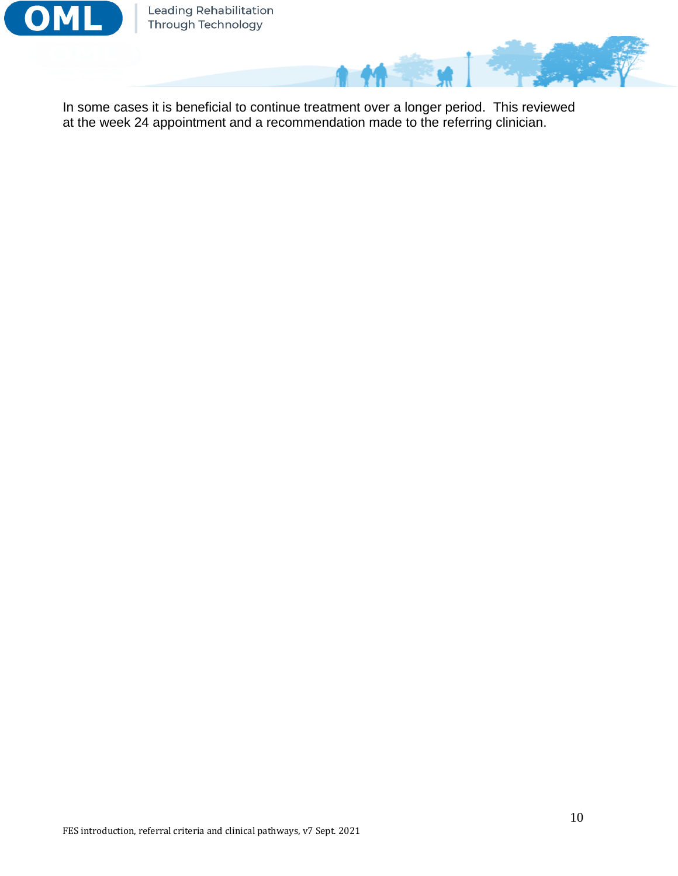

Leading Rehabilitation<br>Through Technology

In some cases it is beneficial to continue treatment over a longer period. This reviewed at the week 24 appointment and a recommendation made to the referring clinician.

Λ

 $M^2$